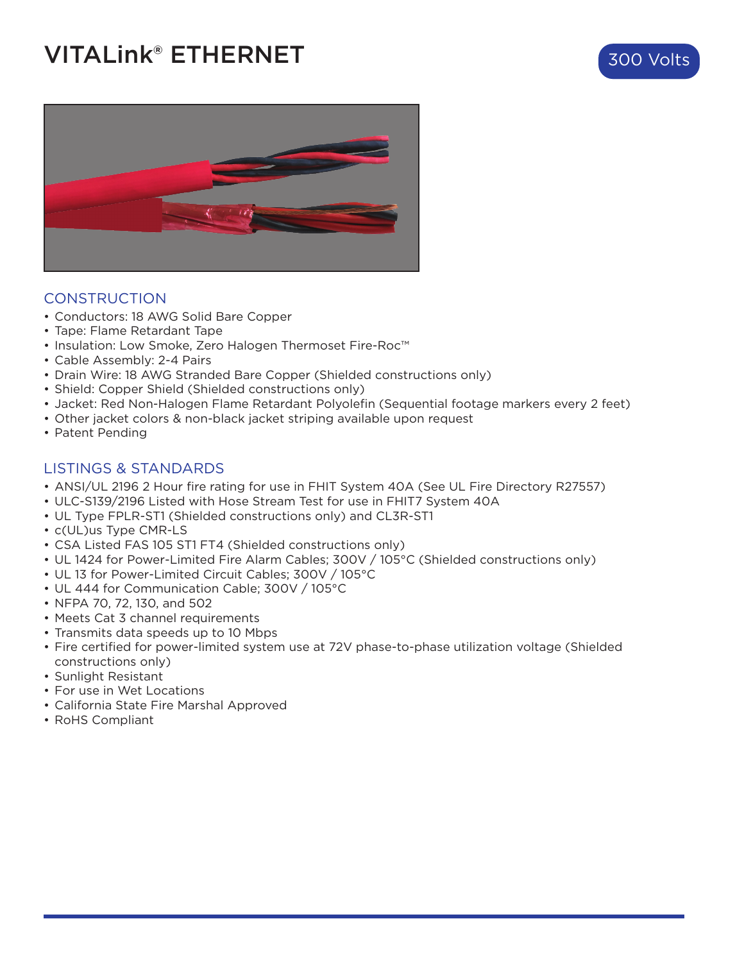## **VITALink® ETHERNET** 300 Volts





#### CONSTRUCTION

- Conductors: 18 AWG Solid Bare Copper
- Tape: Flame Retardant Tape
- Insulation: Low Smoke, Zero Halogen Thermoset Fire-Roc™
- Cable Assembly: 2-4 Pairs
- Drain Wire: 18 AWG Stranded Bare Copper (Shielded constructions only)
- Shield: Copper Shield (Shielded constructions only)
- Jacket: Red Non-Halogen Flame Retardant Polyolefin (Sequential footage markers every 2 feet)
- Other jacket colors & non-black jacket striping available upon request
- Patent Pending

#### LISTINGS & STANDARDS

- ANSI/UL 2196 2 Hour fire rating for use in FHIT System 40A (See UL Fire Directory R27557)
- ULC-S139/2196 Listed with Hose Stream Test for use in FHIT7 System 40A
- UL Type FPLR-ST1 (Shielded constructions only) and CL3R-ST1
- c(UL)us Type CMR-LS
- CSA Listed FAS 105 ST1 FT4 (Shielded constructions only)
- UL 1424 for Power-Limited Fire Alarm Cables; 300V / 105°C (Shielded constructions only)
- UL 13 for Power-Limited Circuit Cables; 300V / 105°C
- UL 444 for Communication Cable; 300V / 105°C
- NFPA 70, 72, 130, and 502
- Meets Cat 3 channel requirements
- Transmits data speeds up to 10 Mbps
- Fire certified for power-limited system use at 72V phase-to-phase utilization voltage (Shielded constructions only)
- Sunlight Resistant
- For use in Wet Locations
- California State Fire Marshal Approved
- RoHS Compliant